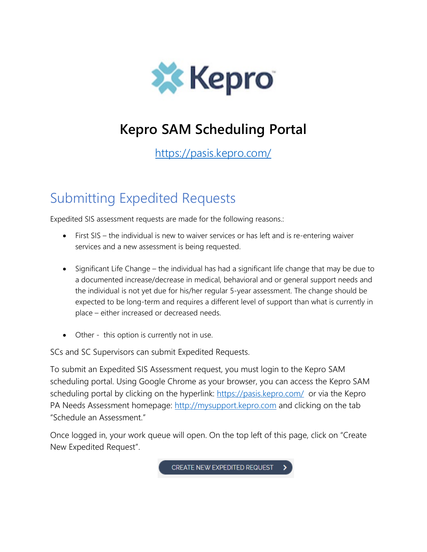

# **Kepro SAM Scheduling Portal**

<https://pasis.kepro.com/>

## Submitting Expedited Requests

Expedited SIS assessment requests are made for the following reasons.:

- First SIS the individual is new to waiver services or has left and is re-entering waiver services and a new assessment is being requested.
- Significant Life Change the individual has had a significant life change that may be due to a documented increase/decrease in medical, behavioral and or general support needs and the individual is not yet due for his/her regular 5-year assessment. The change should be expected to be long-term and requires a different level of support than what is currently in place – either increased or decreased needs.
- Other this option is currently not in use.

SCs and SC Supervisors can submit Expedited Requests.

To submit an Expedited SIS Assessment request, you must login to the Kepro SAM scheduling portal. Using Google Chrome as your browser, you can access the Kepro SAM scheduling portal by clicking on the hyperlink:<https://pasis.kepro.com/>or via the Kepro PA Needs Assessment homepage: [http://mysupport.kepro.com](http://mysupport.kepro.com/) and clicking on the tab "Schedule an Assessment."

Once logged in, your work queue will open. On the top left of this page, click on "Create New Expedited Request".

CREATE NEW EXPEDITED REQUEST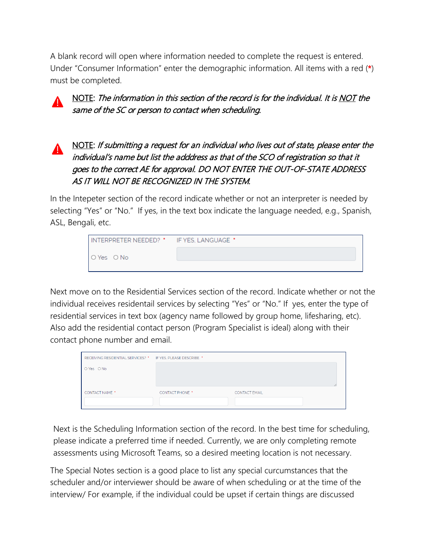A blank record will open where information needed to complete the request is entered. Under "Consumer Information" enter the demographic information. All items with a red (\*) must be completed.

NOTE: The information in this section of the record is for the individual. It is NOT the same of the SC or person to contact when scheduling.

## NOTE: If submitting a request for an individual who lives out of state, please enter the individual's name but list the adddress as that of the SCO of registration so that it goes to the correct AE for approval. DO NOT ENTER THE OUT-OF-STATE ADDRESS AS IT WILL NOT BE RECOGNIZED IN THE SYSTEM.

In the Intepeter section of the record indicate whether or not an interpreter is needed by selecting "Yes" or "No." If yes, in the text box indicate the language needed, e.g., Spanish, ASL, Bengali, etc.

| INTERPRETER NEEDED? * IF YES, LANGUAGE * |  |
|------------------------------------------|--|
| O Yes O No                               |  |
|                                          |  |

Next move on to the Residential Services section of the record. Indicate whether or not the individual receives residentail services by selecting "Yes" or "No." If yes, enter the type of residential services in text box (agency name followed by group home, lifesharing, etc). Also add the residential contact person (Program Specialist is ideal) along with their contact phone number and email.

| RECEIVING RESIDENTIAL SERVICES? * IF YES. PLEASE DESCRIBE. * |                        |                      |  |
|--------------------------------------------------------------|------------------------|----------------------|--|
| O Yes O No                                                   |                        |                      |  |
|                                                              |                        |                      |  |
| <b>CONTACT NAME *</b>                                        | <b>CONTACT PHONE *</b> | <b>CONTACT EMAIL</b> |  |
|                                                              |                        |                      |  |

Next is the Scheduling Information section of the record. In the best time for scheduling, please indicate a preferred time if needed. Currently, we are only completing remote assessments using Microsoft Teams, so a desired meeting location is not necessary.

The Special Notes section is a good place to list any special curcumstances that the scheduler and/or interviewer should be aware of when scheduling or at the time of the interview/ For example, if the individual could be upset if certain things are discussed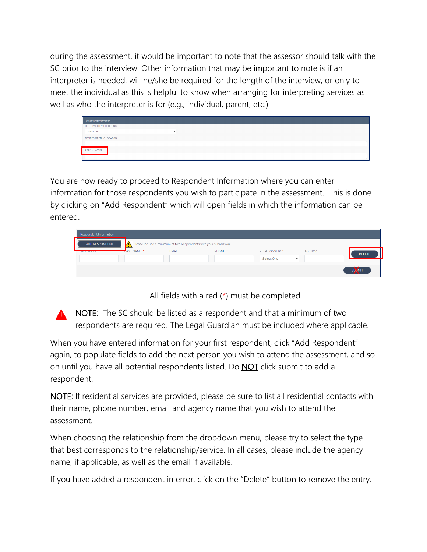during the assessment, it would be important to note that the assessor should talk with the SC prior to the interview. Other information that may be important to note is if an interpreter is needed, will he/she be required for the length of the interview, or only to meet the individual as this is helpful to know when arranging for interpreting services as well as who the interpreter is for (e.g., individual, parent, etc.)

| Scheduling Information   |  |  |
|--------------------------|--|--|
| BEST TIME FOR SCHEDULING |  |  |
| Select One               |  |  |
| DESIRED MEETING LOCATION |  |  |
|                          |  |  |
| SPECIAL NOTES            |  |  |
|                          |  |  |

You are now ready to proceed to Respondent Information where you can enter information for those respondents you wish to participate in the assessment. This is done by clicking on "Add Respondent" which will open fields in which the information can be entered.

| Respondent Information |                        |                                                                   |         |                            |               |               |
|------------------------|------------------------|-------------------------------------------------------------------|---------|----------------------------|---------------|---------------|
| ADD RESPONDENT         | $\mathbf{M}$           | Please include a minimum of two Respondents with your submission. |         |                            |               |               |
| <b>THE CONTRACTOR</b>  | LAST NAME <sup>*</sup> | <b>EMAIL</b>                                                      | PHONE * | RELATIONSHIP *             | <b>AGENCY</b> | <b>DELETE</b> |
|                        |                        |                                                                   |         | Select One<br>$\checkmark$ |               |               |
|                        |                        |                                                                   |         |                            |               | SUTMIT        |

All fields with a red (\*) must be completed.

**NOTE:** The SC should be listed as a respondent and that a minimum of two respondents are required. The Legal Guardian must be included where applicable.

When you have entered information for your first respondent, click "Add Respondent" again, to populate fields to add the next person you wish to attend the assessment, and so on until you have all potential respondents listed. Do **NOT** click submit to add a respondent.

**NOTE:** If residential services are provided, please be sure to list all residential contacts with their name, phone number, email and agency name that you wish to attend the assessment.

When choosing the relationship from the dropdown menu, please try to select the type that best corresponds to the relationship/service. In all cases, please include the agency name, if applicable, as well as the email if available.

If you have added a respondent in error, click on the "Delete" button to remove the entry.